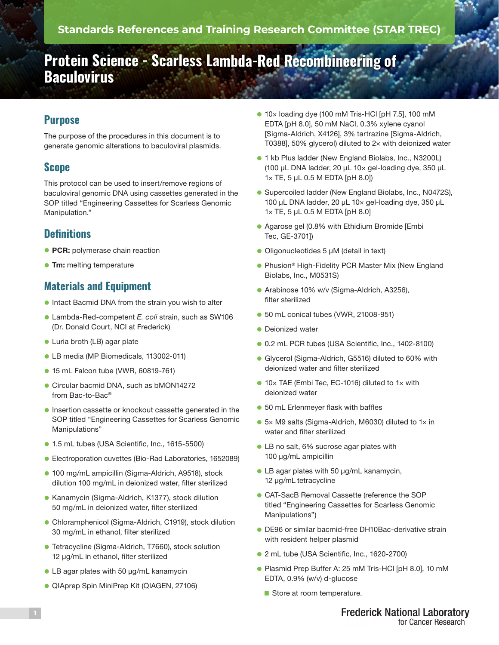# **Protein Science - Scarless Lambda-Red Recombineering of Baculovirus**

## **Purpose**

The purpose of the procedures in this document is to generate genomic alterations to baculoviral plasmids.

#### **Scope**

This protocol can be used to insert/remove regions of baculoviral genomic DNA using cassettes generated in the SOP titled "Engineering Cassettes for Scarless Genomic Manipulation."

## **Definitions**

- **PCR:** polymerase chain reaction
- **Tm:** melting temperature

## **Materials and Equipment**

- **.** Intact Bacmid DNA from the strain you wish to alter
- l Lambda-Red-competent *E. coli* strain, such as SW106 (Dr. Donald Court, NCI at Frederick)
- **Luria broth (LB) agar plate**
- **LB media (MP Biomedicals, 113002-011)**
- **15 mL Falcon tube (VWR, 60819-761)**
- **Circular bacmid DNA, such as bMON14272** from Bac-to-Bac®
- **.** Insertion cassette or knockout cassette generated in the SOP titled "Engineering Cassettes for Scarless Genomic Manipulations"
- **1.5 mL tubes (USA Scientific, Inc., 1615-5500)**
- Electroporation cuvettes (Bio-Rad Laboratories, 1652089)
- **100 mg/mL ampicillin (Sigma-Aldrich, A9518), stock** dilution 100 mg/mL in deionized water, filter sterilized
- Kanamycin (Sigma-Aldrich, K1377), stock dilution 50 mg/mL in deionized water, filter sterilized
- Chloramphenicol (Sigma-Aldrich, C1919), stock dilution 30 mg/mL in ethanol, filter sterilized
- **Tetracycline (Sigma-Aldrich, T7660), stock solution** 12 µg/mL in ethanol, filter sterilized
- LB agar plates with 50 µg/mL kanamycin
- **QIAprep Spin MiniPrep Kit (QIAGEN, 27106)**
- $\bullet$  10× loading dye (100 mM Tris-HCl [pH 7.5], 100 mM EDTA [pH 8.0], 50 mM NaCl, 0.3% xylene cyanol [Sigma-Aldrich, X4126], 3% tartrazine [Sigma-Aldrich, T0388], 50% glycerol) diluted to 2× with deionized water
- **1** kb Plus ladder (New England Biolabs, Inc., N3200L) (100 µL DNA ladder, 20 µL 10× gel-loading dye, 350 µL 1× TE, 5 µL 0.5 M EDTA [pH 8.0])
- **Supercoiled ladder (New England Biolabs, Inc., N0472S),** 100 µL DNA ladder, 20 µL 10× gel-loading dye, 350 µL 1× TE, 5 µL 0.5 M EDTA [pH 8.0]
- **Agarose gel (0.8% with Ethidium Bromide [Embi** Tec, GE-3701])
- Oligonucleotides 5 µM (detail in text)
- **Phusion<sup>®</sup> High-Fidelity PCR Master Mix (New England** Biolabs, Inc., M0531S)
- **Arabinose 10% w/v (Sigma-Aldrich, A3256),** filter sterilized
- 50 mL conical tubes (VWR, 21008-951)
- $\bullet$  Deionized water
- **0.2 mL PCR tubes (USA Scientific, Inc., 1402-8100)**
- **Gilycerol (Sigma-Aldrich, G5516) diluted to 60% with** deionized water and filter sterilized
- 10× TAE (Embi Tec, EC-1016) diluted to 1× with deionized water
- **.** 50 mL Erlenmeyer flask with baffles
- 5× M9 salts (Sigma-Aldrich, M6030) diluted to 1× in water and filter sterilized
- LB no salt, 6% sucrose agar plates with 100 µg/mL ampicillin
- LB agar plates with 50 µg/mL kanamycin, 12 µg/mL tetracycline
- **CAT-SacB Removal Cassette (reference the SOP** titled "Engineering Cassettes for Scarless Genomic Manipulations")
- **DE96 or similar bacmid-free DH10Bac-derivative strain** with resident helper plasmid
- 2 mL tube (USA Scientific, Inc., 1620-2700)
- **Plasmid Prep Buffer A: 25 mM Tris-HCl [pH 8.0], 10 mM** EDTA, 0.9% (w/v) d-glucose
	- Store at room temperature.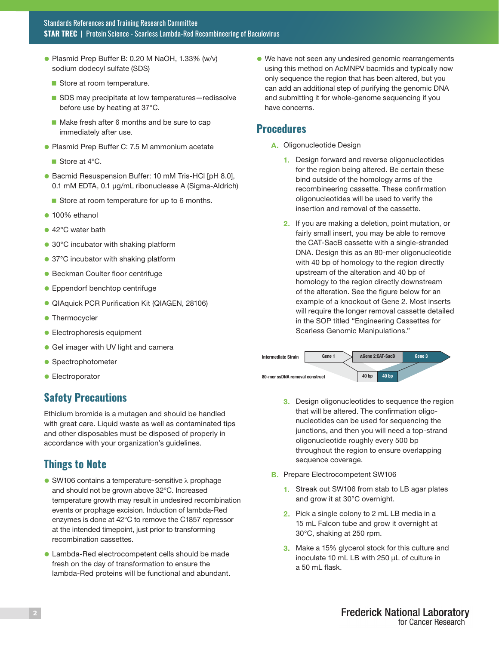- Plasmid Prep Buffer B: 0.20 M NaOH, 1.33% (w/v) sodium dodecyl sulfate (SDS)
	- Store at room temperature.
	- SDS may precipitate at low temperatures-redissolve before use by heating at 37°C.
	- $\blacksquare$  Make fresh after 6 months and be sure to cap immediately after use.
- **Plasmid Prep Buffer C: 7.5 M ammonium acetate** 
	- Store at  $4^{\circ}$ C.
- Bacmid Resuspension Buffer: 10 mM Tris-HCl [pH 8.0], 0.1 mM EDTA, 0.1 μg/mL ribonuclease A (Sigma-Aldrich)
	- Store at room temperature for up to 6 months.
- $\bullet$  100% ethanol
- 42°C water bath
- 30°C incubator with shaking platform
- 37°C incubator with shaking platform
- **Beckman Coulter floor centrifuge**
- **Eppendorf benchtop centrifuge**
- **QIAquick PCR Purification Kit (QIAGEN, 28106)**
- **Thermocycler**
- **Electrophoresis equipment**
- **Gel imager with UV light and camera**
- **Spectrophotometer**
- **e** Electroporator

#### **Safety Precautions**

Ethidium bromide is a mutagen and should be handled with great care. Liquid waste as well as contaminated tips and other disposables must be disposed of properly in accordance with your organization's guidelines.

## **Things to Note**

- $\bullet$  SW106 contains a temperature-sensitive  $\lambda$  prophage and should not be grown above 32°C. Increased temperature growth may result in undesired recombination events or prophage excision. Induction of lambda-Red enzymes is done at 42°C to remove the C1857 repressor at the intended timepoint, just prior to transforming recombination cassettes.
- **Lambda-Red electrocompetent cells should be made** fresh on the day of transformation to ensure the lambda-Red proteins will be functional and abundant.

l We have not seen any undesired genomic rearrangements using this method on AcMNPV bacmids and typically now only sequence the region that has been altered, but you can add an additional step of purifying the genomic DNA and submitting it for whole-genome sequencing if you have concerns.

#### **Procedures**

- A. Oligonucleotide Design
	- 1. Design forward and reverse oligonucleotides for the region being altered. Be certain these bind outside of the homology arms of the recombineering cassette. These confirmation oligonucleotides will be used to verify the insertion and removal of the cassette.
	- 2. If you are making a deletion, point mutation, or fairly small insert, you may be able to remove the CAT-SacB cassette with a single-stranded DNA. Design this as an 80-mer oligonucleotide with 40 bp of homology to the region directly upstream of the alteration and 40 bp of homology to the region directly downstream of the alteration. See the figure below for an example of a knockout of Gene 2. Most inserts will require the longer removal cassette detailed in the SOP titled "Engineering Cassettes for Scarless Genomic Manipulations."



- 3. Design oligonucleotides to sequence the region that will be altered. The confirmation oligonucleotides can be used for sequencing the junctions, and then you will need a top-strand oligonucleotide roughly every 500 bp throughout the region to ensure overlapping sequence coverage.
- **B.** Prepare Electrocompetent SW106
	- 1. Streak out SW106 from stab to LB agar plates and grow it at 30°C overnight.
	- 2. Pick a single colony to 2 mL LB media in a 15 mL Falcon tube and grow it overnight at 30°C, shaking at 250 rpm.
	- 3. Make a 15% glycerol stock for this culture and inoculate 10 mL LB with 250 µL of culture in a 50 mL flask.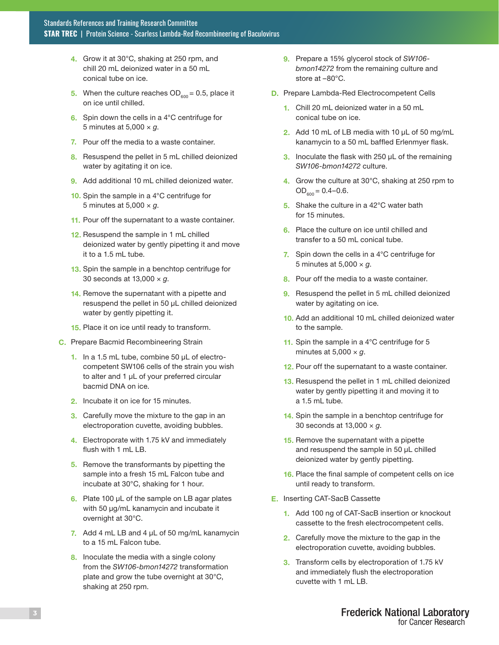- 4. Grow it at 30°C, shaking at 250 rpm, and chill 20 mL deionized water in a 50 mL conical tube on ice.
- 5. When the culture reaches  $OD_{600} = 0.5$ , place it on ice until chilled.
- 6. Spin down the cells in a 4°C centrifuge for 5 minutes at 5,000 × *g*.
- 7. Pour off the media to a waste container.
- 8. Resuspend the pellet in 5 mL chilled deionized water by agitating it on ice.
- 9. Add additional 10 mL chilled deionized water.
- 10. Spin the sample in a 4°C centrifuge for 5 minutes at 5,000 × *g*.
- 11. Pour off the supernatant to a waste container.
- 12. Resuspend the sample in 1 mL chilled deionized water by gently pipetting it and move it to a 1.5 mL tube.
- 13. Spin the sample in a benchtop centrifuge for 30 seconds at 13,000 × *g*.
- 14. Remove the supernatant with a pipette and resuspend the pellet in 50 µL chilled deionized water by gently pipetting it.
- 15. Place it on ice until ready to transform.
- C. Prepare Bacmid Recombineering Strain
	- 1. In a 1.5 mL tube, combine 50 µL of electrocompetent SW106 cells of the strain you wish to alter and 1 µL of your preferred circular bacmid DNA on ice.
	- 2. Incubate it on ice for 15 minutes.
	- **3.** Carefully move the mixture to the gap in an electroporation cuvette, avoiding bubbles.
	- 4. Electroporate with 1.75 kV and immediately flush with 1 mL LB.
	- 5. Remove the transformants by pipetting the sample into a fresh 15 mL Falcon tube and incubate at 30°C, shaking for 1 hour.
	- 6. Plate 100 µL of the sample on LB agar plates with 50 µg/mL kanamycin and incubate it overnight at 30°C.
	- 7. Add 4 mL LB and 4  $\mu$ L of 50 mg/mL kanamycin to a 15 mL Falcon tube.
	- 8. Inoculate the media with a single colony from the *SW106-bmon14272* transformation plate and grow the tube overnight at 30°C, shaking at 250 rpm.
- 9. Prepare a 15% glycerol stock of *SW106 bmon14272* from the remaining culture and store at –80°C.
- D. Prepare Lambda-Red Electrocompetent Cells
	- 1. Chill 20 mL deionized water in a 50 mL conical tube on ice.
	- 2. Add 10 mL of LB media with 10 µL of 50 mg/mL kanamycin to a 50 mL baffled Erlenmyer flask.
	- 3. Inoculate the flask with 250 µL of the remaining *SW106-bmon14272* culture.
	- 4. Grow the culture at 30°C, shaking at 250 rpm to  $OD_{600} = 0.4 - 0.6$ .
	- 5. Shake the culture in a 42°C water bath for 15 minutes.
	- 6. Place the culture on ice until chilled and transfer to a 50 mL conical tube.
	- 7. Spin down the cells in a 4°C centrifuge for 5 minutes at 5,000 × *g*.
	- 8. Pour off the media to a waste container.
	- 9. Resuspend the pellet in 5 mL chilled deionized water by agitating on ice.
	- 10. Add an additional 10 mL chilled deionized water to the sample.
	- 11. Spin the sample in a 4°C centrifuge for 5 minutes at  $5,000 \times g$ .
	- 12. Pour off the supernatant to a waste container.
	- 13. Resuspend the pellet in 1 mL chilled deionized water by gently pipetting it and moving it to a 1.5 mL tube.
	- 14. Spin the sample in a benchtop centrifuge for 30 seconds at 13,000 × *g*.
	- 15. Remove the supernatant with a pipette and resuspend the sample in 50 µL chilled deionized water by gently pipetting.
	- 16. Place the final sample of competent cells on ice until ready to transform.
- E. Inserting CAT-SacB Cassette
	- 1. Add 100 ng of CAT-SacB insertion or knockout cassette to the fresh electrocompetent cells.
	- 2. Carefully move the mixture to the gap in the electroporation cuvette, avoiding bubbles.
	- 3. Transform cells by electroporation of 1.75 kV and immediately flush the electroporation cuvette with 1 mL LB.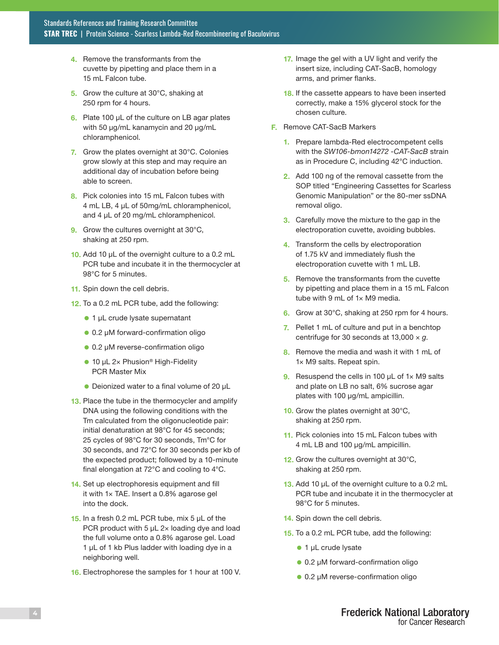- 4. Remove the transformants from the cuvette by pipetting and place them in a 15 mL Falcon tube.
- 5. Grow the culture at 30°C, shaking at 250 rpm for 4 hours.
- 6. Plate 100 µL of the culture on LB agar plates with 50 µg/mL kanamycin and 20 µg/mL chloramphenicol.
- 7. Grow the plates overnight at 30°C. Colonies grow slowly at this step and may require an additional day of incubation before being able to screen.
- 8. Pick colonies into 15 mL Falcon tubes with 4 mL LB, 4 µL of 50mg/mL chloramphenicol, and 4  $\mu$ L of 20 mg/mL chloramphenicol.
- 9. Grow the cultures overnight at 30°C, shaking at 250 rpm.
- 10. Add 10 µL of the overnight culture to a 0.2 mL PCR tube and incubate it in the thermocycler at 98°C for 5 minutes.
- 11. Spin down the cell debris.
- 12. To a 0.2 mL PCR tube, add the following:
	- 1 µL crude lysate supernatant
	- 0.2 µM forward-confirmation oligo
	- 0.2 µM reverse-confirmation oligo
	- 10 µL 2× Phusion<sup>®</sup> High-Fidelity PCR Master Mix
	- Deionized water to a final volume of 20 µL
- 13. Place the tube in the thermocycler and amplify DNA using the following conditions with the Tm calculated from the oligonucleotide pair: initial denaturation at 98°C for 45 seconds; 25 cycles of 98°C for 30 seconds, Tm°C for 30 seconds, and 72°C for 30 seconds per kb of the expected product; followed by a 10-minute final elongation at 72°C and cooling to 4°C.
- 14. Set up electrophoresis equipment and fill it with 1× TAE. Insert a 0.8% agarose gel into the dock.
- 15. In a fresh 0.2 mL PCR tube, mix 5 µL of the PCR product with 5  $\mu$ L 2× loading dye and load the full volume onto a 0.8% agarose gel. Load 1 µL of 1 kb Plus ladder with loading dye in a neighboring well.
- 16. Electrophorese the samples for 1 hour at 100 V.
- 17. Image the gel with a UV light and verify the insert size, including CAT-SacB, homology arms, and primer flanks.
- 18. If the cassette appears to have been inserted correctly, make a 15% glycerol stock for the chosen culture.
- F. Remove CAT-SacB Markers
	- 1. Prepare lambda-Red electrocompetent cells with the *SW106-bmon14272 -CAT-SacB* strain as in Procedure C, including 42°C induction.
	- 2. Add 100 ng of the removal cassette from the SOP titled "Engineering Cassettes for Scarless Genomic Manipulation" or the 80-mer ssDNA removal oligo.
	- 3. Carefully move the mixture to the gap in the electroporation cuvette, avoiding bubbles.
	- 4. Transform the cells by electroporation of 1.75 kV and immediately flush the electroporation cuvette with 1 mL LB.
	- 5. Remove the transformants from the cuvette by pipetting and place them in a 15 mL Falcon tube with 9 mL of 1× M9 media.
	- 6. Grow at 30°C, shaking at 250 rpm for 4 hours.
	- 7. Pellet 1 mL of culture and put in a benchtop centrifuge for 30 seconds at 13,000 × *g*.
	- 8. Remove the media and wash it with 1 mL of 1× M9 salts. Repeat spin.
	- 9. Resuspend the cells in 100  $\mu$ L of 1 $\times$  M9 salts and plate on LB no salt, 6% sucrose agar plates with 100 µg/mL ampicillin.
	- 10. Grow the plates overnight at 30°C, shaking at 250 rpm.
	- 11. Pick colonies into 15 mL Falcon tubes with 4 mL LB and 100 µg/mL ampicillin.
	- 12. Grow the cultures overnight at 30°C, shaking at 250 rpm.
	- 13. Add 10 µL of the overnight culture to a 0.2 mL PCR tube and incubate it in the thermocycler at 98°C for 5 minutes.
	- 14. Spin down the cell debris.
	- 15. To a 0.2 mL PCR tube, add the following:
		- $\bullet$  1 µL crude lysate
		- 0.2 µM forward-confirmation oligo
		- 0.2 µM reverse-confirmation oligo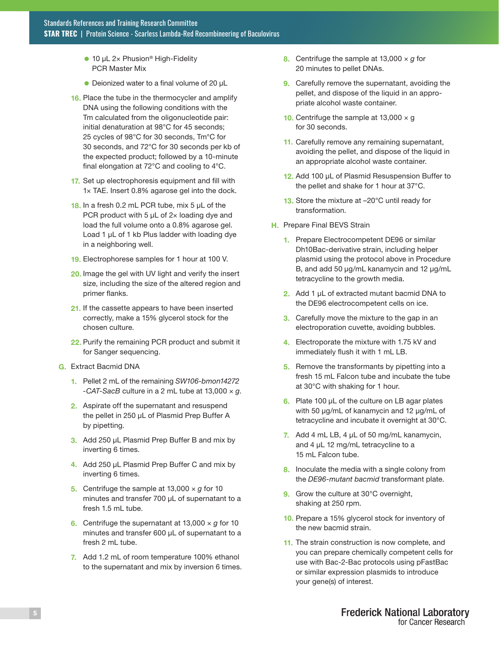- $\bullet$  10 µL 2× Phusion<sup>®</sup> High-Fidelity PCR Master Mix
- $\bullet$  Deionized water to a final volume of 20  $\mu$ L
- 16. Place the tube in the thermocycler and amplify DNA using the following conditions with the Tm calculated from the oligonucleotide pair: initial denaturation at 98°C for 45 seconds; 25 cycles of 98°C for 30 seconds, Tm°C for 30 seconds, and 72°C for 30 seconds per kb of the expected product; followed by a 10-minute final elongation at 72°C and cooling to 4°C.
- 17. Set up electrophoresis equipment and fill with 1× TAE. Insert 0.8% agarose gel into the dock.
- 18. In a fresh 0.2 mL PCR tube, mix 5 µL of the PCR product with 5  $\mu$ L of 2x loading dye and load the full volume onto a 0.8% agarose gel. Load 1 µL of 1 kb Plus ladder with loading dye in a neighboring well.
- 19. Electrophorese samples for 1 hour at 100 V.
- 20. Image the gel with UV light and verify the insert size, including the size of the altered region and primer flanks.
- 21. If the cassette appears to have been inserted correctly, make a 15% glycerol stock for the chosen culture.
- 22. Purify the remaining PCR product and submit it for Sanger sequencing.
- G. Extract Bacmid DNA
	- 1. Pellet 2 mL of the remaining *SW106-bmon14272 -CAT-SacB* culture in a 2 mL tube at 13,000 × *g*.
	- 2. Aspirate off the supernatant and resuspend the pellet in 250 µL of Plasmid Prep Buffer A by pipetting.
	- 3. Add 250 µL Plasmid Prep Buffer B and mix by inverting 6 times.
	- 4. Add 250 µL Plasmid Prep Buffer C and mix by inverting 6 times.
	- 5. Centrifuge the sample at 13,000 × *g* for 10 minutes and transfer 700 µL of supernatant to a fresh 1.5 mL tube.
	- 6. Centrifuge the supernatant at 13,000 × *g* for 10 minutes and transfer 600 µL of supernatant to a fresh 2 mL tube.
	- 7. Add 1.2 mL of room temperature 100% ethanol to the supernatant and mix by inversion 6 times.
- 8. Centrifuge the sample at 13,000 × *g* for 20 minutes to pellet DNAs.
- **9.** Carefully remove the supernatant, avoiding the pellet, and dispose of the liquid in an appropriate alcohol waste container.
- **10.** Centrifuge the sample at 13,000  $\times$  g for 30 seconds.
- 11. Carefully remove any remaining supernatant, avoiding the pellet, and dispose of the liquid in an appropriate alcohol waste container.
- 12. Add 100 µL of Plasmid Resuspension Buffer to the pellet and shake for 1 hour at 37°C.
- 13. Store the mixture at -20°C until ready for transformation.
- **H.** Prepare Final BEVS Strain
	- 1. Prepare Electrocompetent DE96 or similar Dh10Bac-derivative strain, including helper plasmid using the protocol above in Procedure B, and add 50 µg/mL kanamycin and 12 µg/mL tetracycline to the growth media.
	- 2. Add 1 µL of extracted mutant bacmid DNA to the DE96 electrocompetent cells on ice.
	- **3.** Carefully move the mixture to the gap in an electroporation cuvette, avoiding bubbles.
	- 4. Electroporate the mixture with 1.75 kV and immediately flush it with 1 mL LB.
	- 5. Remove the transformants by pipetting into a fresh 15 mL Falcon tube and incubate the tube at 30°C with shaking for 1 hour.
	- 6. Plate 100 µL of the culture on LB agar plates with 50 µg/mL of kanamycin and 12 µg/mL of tetracycline and incubate it overnight at 30°C.
	- 7. Add 4 mL LB, 4  $\mu$ L of 50 mg/mL kanamycin, and 4 µL 12 mg/mL tetracycline to a 15 mL Falcon tube.
	- 8. Inoculate the media with a single colony from the *DE96-mutant bacmid* transformant plate.
	- 9. Grow the culture at 30°C overnight, shaking at 250 rpm.
	- 10. Prepare a 15% glycerol stock for inventory of the new bacmid strain.
	- 11. The strain construction is now complete, and you can prepare chemically competent cells for use with Bac-2-Bac protocols using pFastBac or similar expression plasmids to introduce your gene(s) of interest.